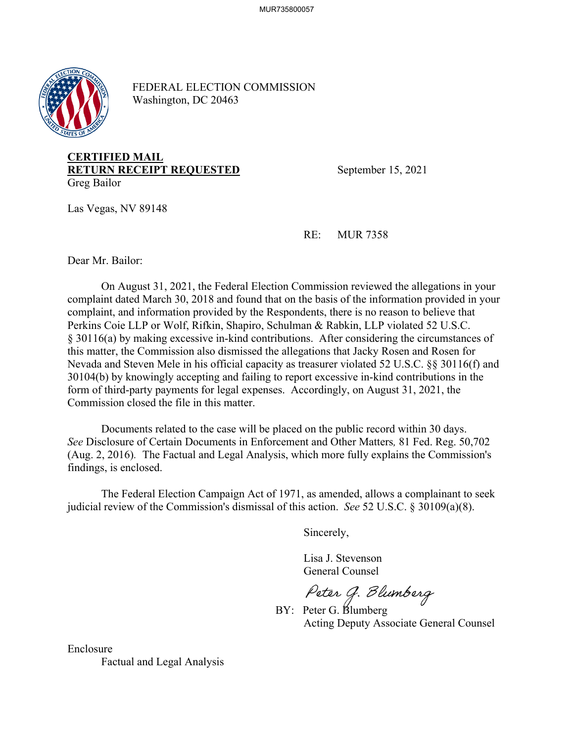

FEDERAL ELECTION COMMISSION Washington, DC 20463

## **CERTIFIED MAIL RETURN RECEIPT REQUESTED** September 15, 2021 Greg Bailor

Las Vegas, NV 89148

RE: MUR 7358

Dear Mr. Bailor:

On August 31, 2021, the Federal Election Commission reviewed the allegations in your complaint dated March 30, 2018 and found that on the basis of the information provided in your complaint, and information provided by the Respondents, there is no reason to believe that Perkins Coie LLP or Wolf, Rifkin, Shapiro, Schulman & Rabkin, LLP violated 52 U.S.C. § 30116(a) by making excessive in-kind contributions. After considering the circumstances of this matter, the Commission also dismissed the allegations that Jacky Rosen and Rosen for Nevada and Steven Mele in his official capacity as treasurer violated 52 U.S.C. §§ 30116(f) and 30104(b) by knowingly accepting and failing to report excessive in-kind contributions in the form of third-party payments for legal expenses. Accordingly, on August 31, 2021, the Commission closed the file in this matter.

Documents related to the case will be placed on the public record within 30 days. *See* Disclosure of Certain Documents in Enforcement and Other Matters*,* 81 Fed. Reg. 50,702 (Aug. 2, 2016). The Factual and Legal Analysis, which more fully explains the Commission's findings, is enclosed.

 The Federal Election Campaign Act of 1971, as amended, allows a complainant to seek judicial review of the Commission's dismissal of this action. *See* 52 U.S.C. § 30109(a)(8).

Sincerely,

 Lisa J. Stevenson General Counsel

Peter G. Blumberg<br>BY: Peter G. Blumberg

Acting Deputy Associate General Counsel

Enclosure Factual and Legal Analysis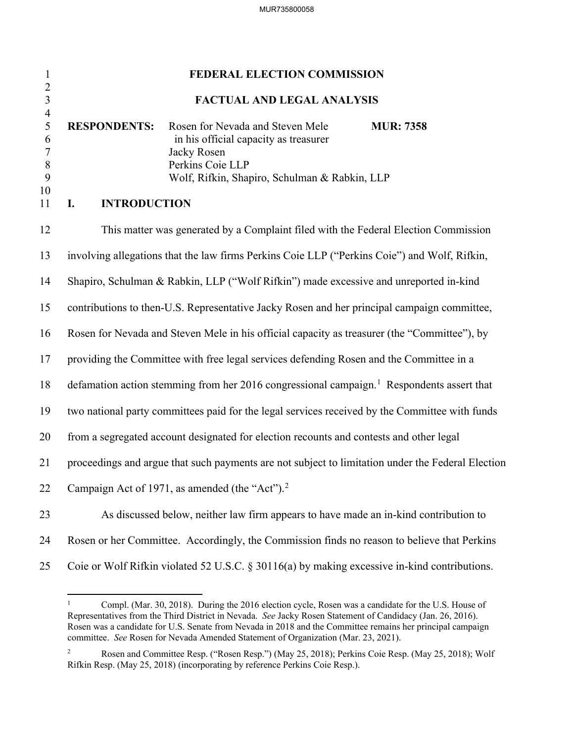| $\mathbf{1}$                                                          | FEDERAL ELECTION COMMISSION                                                                                                                                                                                                           |  |
|-----------------------------------------------------------------------|---------------------------------------------------------------------------------------------------------------------------------------------------------------------------------------------------------------------------------------|--|
| $\frac{2}{3}$                                                         | FACTUAL AND LEGAL ANALYSIS                                                                                                                                                                                                            |  |
| $\overline{4}$<br>5<br>6<br>$\overline{7}$<br>$\, 8$<br>9<br>10<br>11 | <b>RESPONDENTS:</b><br>Rosen for Nevada and Steven Mele<br><b>MUR: 7358</b><br>in his official capacity as treasurer<br>Jacky Rosen<br>Perkins Coie LLP<br>Wolf, Rifkin, Shapiro, Schulman & Rabkin, LLP<br><b>INTRODUCTION</b><br>I. |  |
|                                                                       |                                                                                                                                                                                                                                       |  |
| 12                                                                    | This matter was generated by a Complaint filed with the Federal Election Commission                                                                                                                                                   |  |
| 13                                                                    | involving allegations that the law firms Perkins Coie LLP ("Perkins Coie") and Wolf, Rifkin,                                                                                                                                          |  |
| 14                                                                    | Shapiro, Schulman & Rabkin, LLP ("Wolf Rifkin") made excessive and unreported in-kind                                                                                                                                                 |  |
| 15                                                                    | contributions to then-U.S. Representative Jacky Rosen and her principal campaign committee,                                                                                                                                           |  |
| 16                                                                    | Rosen for Nevada and Steven Mele in his official capacity as treasurer (the "Committee"), by                                                                                                                                          |  |
| 17                                                                    | providing the Committee with free legal services defending Rosen and the Committee in a                                                                                                                                               |  |
| 18                                                                    | defamation action stemming from her 2016 congressional campaign. <sup>1</sup> Respondents assert that                                                                                                                                 |  |
| 19                                                                    | two national party committees paid for the legal services received by the Committee with funds                                                                                                                                        |  |
| 20                                                                    | from a segregated account designated for election recounts and contests and other legal                                                                                                                                               |  |
| 21                                                                    | proceedings and argue that such payments are not subject to limitation under the Federal Election                                                                                                                                     |  |
| 22                                                                    | Campaign Act of 1971, as amended (the "Act"). $2$                                                                                                                                                                                     |  |
| 23                                                                    | As discussed below, neither law firm appears to have made an in-kind contribution to                                                                                                                                                  |  |
| 24                                                                    | Rosen or her Committee. Accordingly, the Commission finds no reason to believe that Perkins                                                                                                                                           |  |
| 25                                                                    | Coie or Wolf Rifkin violated 52 U.S.C. § 30116(a) by making excessive in-kind contributions.                                                                                                                                          |  |

<span id="page-1-0"></span><sup>1</sup> Compl. (Mar. 30, 2018). During the 2016 election cycle, Rosen was a candidate for the U.S. House of Representatives from the Third District in Nevada. *See* Jacky Rosen Statement of Candidacy (Jan. 26, 2016). Rosen was a candidate for U.S. Senate from Nevada in 2018 and the Committee remains her principal campaign committee. *See* Rosen for Nevada Amended Statement of Organization (Mar. 23, 2021).

<span id="page-1-1"></span><sup>2</sup> Rosen and Committee Resp. ("Rosen Resp.") (May 25, 2018); Perkins Coie Resp. (May 25, 2018); Wolf Rifkin Resp. (May 25, 2018) (incorporating by reference Perkins Coie Resp.).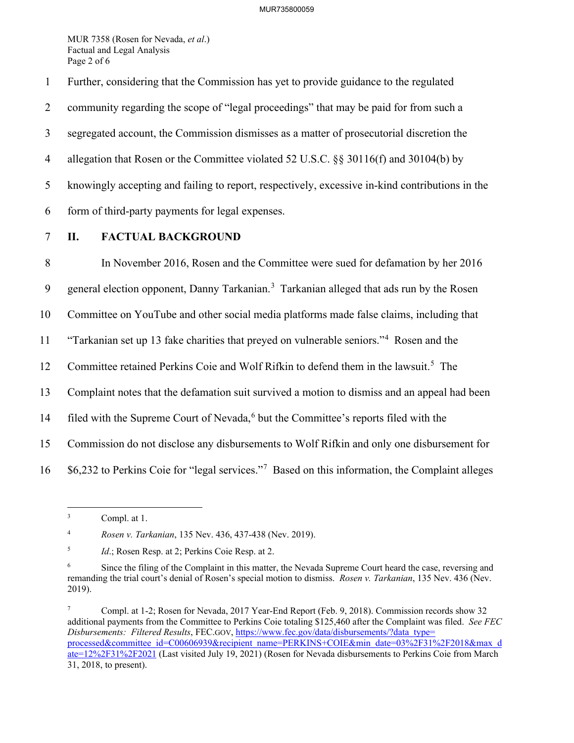MUR 7358 (Rosen for Nevada, *et al*.) Factual and Legal Analysis Page 2 of 6

1 Further, considering that the Commission has yet to provide guidance to the regulated

2 community regarding the scope of "legal proceedings" that may be paid for from such a

3 segregated account, the Commission dismisses as a matter of prosecutorial discretion the

4 allegation that Rosen or the Committee violated 52 U.S.C. §§ 30116(f) and 30104(b) by

5 knowingly accepting and failing to report, respectively, excessive in-kind contributions in the

- 6 form of third-party payments for legal expenses.
- 

## 7 **II. FACTUAL BACKGROUND**

8 In November 2016, Rosen and the Committee were sued for defamation by her 2016 9 general election opponent, Danny Tarkanian.<sup>[3](#page-2-0)</sup> Tarkanian alleged that ads run by the Rosen 10 Committee on YouTube and other social media platforms made false claims, including that <sup>11</sup> "Tarkanian set up 13 fake charities that preyed on vulnerable seniors."<sup>4</sup> Rosen and the 12 Committee retained Perkins Coie and Wolf Rifkin to defend them in the lawsuit.<sup>[5](#page-2-2)</sup> The 13 Complaint notes that the defamation suit survived a motion to dismiss and an appeal had been 14 filed with the Supreme Court of Nevada,<sup>[6](#page-2-3)</sup> but the Committee's reports filed with the 15 Commission do not disclose any disbursements to Wolf Rifkin and only one disbursement for  $16$  \$6,232 to Perkins Coie for "legal services."<sup>[7](#page-2-4)</sup> Based on this information, the Complaint alleges

<span id="page-2-1"></span>4 *Rosen v. Tarkanian*, 135 Nev. 436, 437-438 (Nev. 2019).

<span id="page-2-0"></span><sup>3</sup> Compl. at 1.

<span id="page-2-2"></span><sup>5</sup> *Id.*; Rosen Resp. at 2; Perkins Coie Resp. at 2.

<span id="page-2-3"></span><sup>6</sup> Since the filing of the Complaint in this matter, the Nevada Supreme Court heard the case, reversing and remanding the trial court's denial of Rosen's special motion to dismiss. *Rosen v. Tarkanian*, 135 Nev. 436 (Nev. 2019).

<span id="page-2-4"></span><sup>7</sup> Compl. at 1-2; Rosen for Nevada, 2017 Year-End Report (Feb. 9, 2018). Commission records show 32 additional payments from the Committee to Perkins Coie totaling \$125,460 after the Complaint was filed. *See FEC Disbursements: Filtered Results*, FEC.GOV[, https://www.fec.gov/data/disbursements/?data\\_type=](https://www.fec.gov/data/disbursements/?data_type=%E2%80%8Cprocessed&committee_id=C00606939&recipient_name=PERKINS+COIE&min_date=03%2F31%2F2018&max_date=12%2F31%2F2021) [processed&committee\\_id=C00606939&recipient\\_name=PERKINS+COIE&min\\_date=03%2F31%2F2018&max\\_d](https://www.fec.gov/data/disbursements/?data_type=%E2%80%8Cprocessed&committee_id=C00606939&recipient_name=PERKINS+COIE&min_date=03%2F31%2F2018&max_date=12%2F31%2F2021) [ate=12%2F31%2F2021](https://www.fec.gov/data/disbursements/?data_type=%E2%80%8Cprocessed&committee_id=C00606939&recipient_name=PERKINS+COIE&min_date=03%2F31%2F2018&max_date=12%2F31%2F2021) (Last visited July 19, 2021) (Rosen for Nevada disbursements to Perkins Coie from March 31, 2018, to present).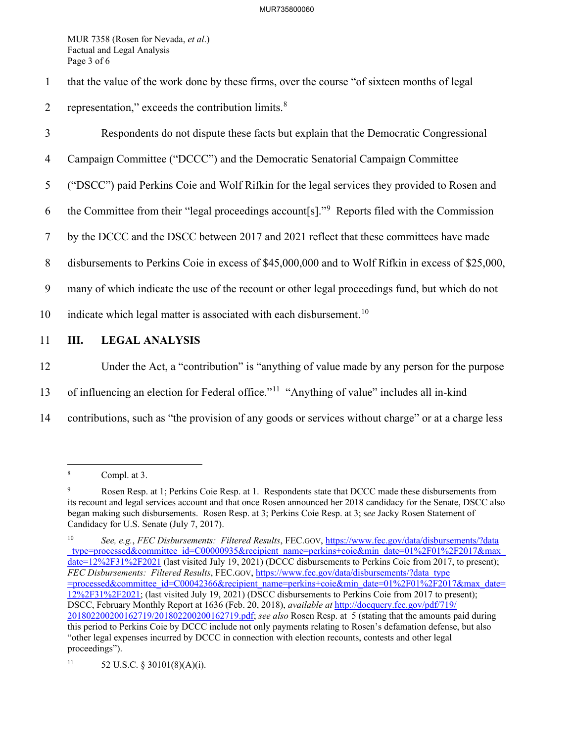MUR 7358 (Rosen for Nevada, *et al*.) Factual and Legal Analysis Page 3 of 6

- 1 that the value of the work done by these firms, over the course "of sixteen months of legal
- 2 representation," exceeds the contribution limits. $8 \times 10^{-10}$  $8 \times 10^{-10}$
- 3 Respondents do not dispute these facts but explain that the Democratic Congressional
- 4 Campaign Committee ("DCCC") and the Democratic Senatorial Campaign Committee
- 5 ("DSCC") paid Perkins Coie and Wolf Rifkin for the legal services they provided to Rosen and
- 6 the Committee from their "legal proceedings account  $[s]$ ." Reports filed with the Commission
- 7 by the DCCC and the DSCC between 2017 and 2021 reflect that these committees have made
- 8 disbursements to Perkins Coie in excess of \$45,000,000 and to Wolf Rifkin in excess of \$25,000,
- 9 many of which indicate the use of the recount or other legal proceedings fund, but which do not
- [10](#page-3-2) indicate which legal matter is associated with each disbursement.<sup>10</sup>
- 11 **III. LEGAL ANALYSIS**
- 12 Under the Act, a "contribution" is "anything of value made by any person for the purpose
- 13 of influencing an election for Federal office."<sup>[11](#page-3-3)</sup> "Anything of value" includes all in-kind
- 14 contributions, such as "the provision of any goods or services without charge" or at a charge less

<span id="page-3-0"></span><sup>8</sup> Compl. at 3.

<span id="page-3-1"></span><sup>9</sup> Rosen Resp. at 1; Perkins Coie Resp. at 1. Respondents state that DCCC made these disbursements from its recount and legal services account and that once Rosen announced her 2018 candidacy for the Senate, DSCC also began making such disbursements. Rosen Resp. at 3; Perkins Coie Resp. at 3; s*ee* Jacky Rosen Statement of Candidacy for U.S. Senate (July 7, 2017).

<span id="page-3-2"></span><sup>10</sup> *See, e.g.*, *FEC Disbursements: Filtered Results*, FEC.GOV, https://www.fec.gov/data/disbursements/?data \_type=processed&committee\_id=C00000935&recipient\_name=perkins+coie&min\_date=01%2F01%2F2017&max\_ date=12%2F31%2F2021 (last visited July 19, 2021) (DCCC disbursements to Perkins Coie from 2017, to present); *FEC Disbursements: Filtered Results*, FEC.GOV, https://www.fec.gov/data/disbursements/?data\_type =processed&committee\_id=C00042366&recipient\_name=perkins+coie&min\_date=01%2F01%2F2017&max\_date= 12%2F31%2F2021; (last visited July 19, 2021) (DSCC disbursements to Perkins Coie from 2017 to present); DSCC, February Monthly Report at 1636 (Feb. 20, 2018), *available at* [http://docquery.fec.gov/pdf/719/](http://docquery.fec.gov/pdf/719/201802200200162719%E2%80%8C/201802200200162719.pdf) [201802200200162719/201802200200162719.pdf;](http://docquery.fec.gov/pdf/719/201802200200162719%E2%80%8C/201802200200162719.pdf) *see also* Rosen Resp. at 5 (stating that the amounts paid during this period to Perkins Coie by DCCC include not only payments relating to Rosen's defamation defense, but also "other legal expenses incurred by DCCC in connection with election recounts, contests and other legal proceedings").

<span id="page-3-3"></span><sup>11 52</sup> U.S.C. § 30101(8)(A)(i).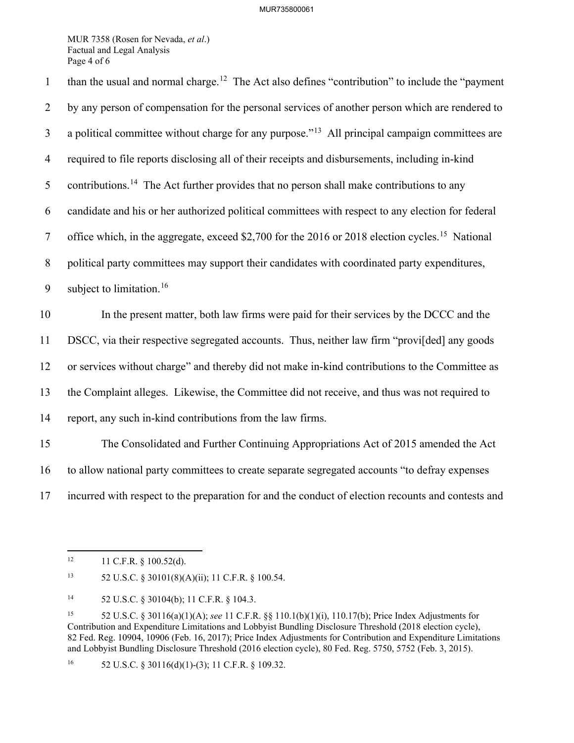MUR 7358 (Rosen for Nevada, *et al*.) Factual and Legal Analysis Page 4 of 6

than the usual and normal charge.<sup>[12](#page-4-0)</sup> The Act also defines "contribution" to include the "payment" 2 by any person of compensation for the personal services of another person which are rendered to  $\alpha$  a political committee without charge for any purpose.<sup> $13$ </sup> All principal campaign committees are 4 required to file reports disclosing all of their receipts and disbursements, including in-kind 5 contributions.<sup>[14](#page-4-2)</sup> The Act further provides that no person shall make contributions to any 6 candidate and his or her authorized political committees with respect to any election for federal 7 office which, in the aggregate, exceed \$2,700 for the 2016 or 2018 election cycles.<sup>[15](#page-4-3)</sup> National 8 political party committees may support their candidates with coordinated party expenditures, 9 subject to limitation.<sup>[16](#page-4-4)</sup> 10 In the present matter, both law firms were paid for their services by the DCCC and the 11 DSCC, via their respective segregated accounts. Thus, neither law firm "provi[ded] any goods 12 or services without charge" and thereby did not make in-kind contributions to the Committee as 13 the Complaint alleges. Likewise, the Committee did not receive, and thus was not required to 14 report, any such in-kind contributions from the law firms. 15 The Consolidated and Further Continuing Appropriations Act of 2015 amended the Act 16 to allow national party committees to create separate segregated accounts "to defray expenses 17 incurred with respect to the preparation for and the conduct of election recounts and contests and

<span id="page-4-0"></span> $12$  11 C.F.R. § 100.52(d).

<span id="page-4-1"></span><sup>13 52</sup> U.S.C. § 30101(8)(A)(ii); 11 C.F.R. § 100.54.

<sup>14 52</sup> U.S.C. § 30104(b); 11 C.F.R. § 104.3.

<span id="page-4-3"></span><span id="page-4-2"></span><sup>15 52</sup> U.S.C. § 30116(a)(1)(A); *see* 11 C.F.R. §§ 110.1(b)(1)(i), 110.17(b); Price Index Adjustments for Contribution and Expenditure Limitations and Lobbyist Bundling Disclosure Threshold (2018 election cycle), 82 Fed. Reg. 10904, 10906 (Feb. 16, 2017); Price Index Adjustments for Contribution and Expenditure Limitations and Lobbyist Bundling Disclosure Threshold (2016 election cycle), 80 Fed. Reg. 5750, 5752 (Feb. 3, 2015).

<span id="page-4-4"></span><sup>&</sup>lt;sup>16</sup> 52 U.S.C. § 30116(d)(1)-(3); 11 C.F.R. § 109.32.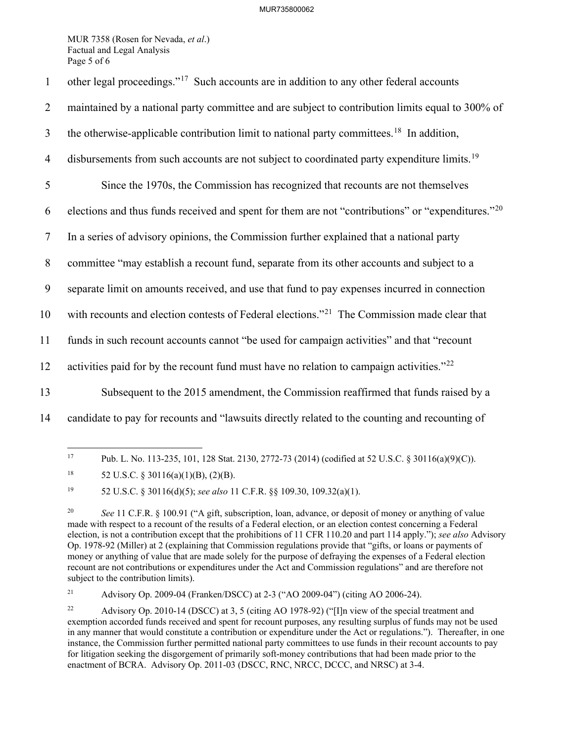## MUR735800062

MUR 7358 (Rosen for Nevada, *et al*.) Factual and Legal Analysis Page 5 of 6

| $\mathbf{1}$   | other legal proceedings." <sup>17</sup> Such accounts are in addition to any other federal accounts           |
|----------------|---------------------------------------------------------------------------------------------------------------|
| $\overline{2}$ | maintained by a national party committee and are subject to contribution limits equal to 300% of              |
| $\mathfrak{Z}$ | the otherwise-applicable contribution limit to national party committees. <sup>18</sup> In addition,          |
| $\overline{4}$ | disbursements from such accounts are not subject to coordinated party expenditure limits. <sup>19</sup>       |
| 5              | Since the 1970s, the Commission has recognized that recounts are not themselves                               |
| 6              | elections and thus funds received and spent for them are not "contributions" or "expenditures." <sup>20</sup> |
| $\tau$         | In a series of advisory opinions, the Commission further explained that a national party                      |
| $\, 8$         | committee "may establish a recount fund, separate from its other accounts and subject to a                    |
| 9              | separate limit on amounts received, and use that fund to pay expenses incurred in connection                  |
| 10             | with recounts and election contests of Federal elections." <sup>21</sup> The Commission made clear that       |
| 11             | funds in such recount accounts cannot "be used for campaign activities" and that "recount                     |
| 12             | activities paid for by the recount fund must have no relation to campaign activities." $^{22}$                |
| 13             | Subsequent to the 2015 amendment, the Commission reaffirmed that funds raised by a                            |
| 14             | candidate to pay for recounts and "lawsuits directly related to the counting and recounting of                |
|                |                                                                                                               |

<span id="page-5-0"></span><sup>17</sup> Pub. L. No. 113-235, 101, 128 Stat. 2130, 2772-73 (2014) (codified at 52 U.S.C. § 30116(a)(9)(C)).

<span id="page-5-2"></span>19 52 U.S.C. § 30116(d)(5); *see also* 11 C.F.R. §§ 109.30, 109.32(a)(1).

<span id="page-5-4"></span>21 Advisory Op. 2009-04 (Franken/DSCC) at 2-3 ("AO 2009-04") (citing AO 2006-24).

<span id="page-5-1"></span><sup>&</sup>lt;sup>18</sup> 52 U.S.C. § 30116(a)(1)(B), (2)(B).

<span id="page-5-3"></span><sup>&</sup>lt;sup>20</sup> *See* 11 C.F.R. § 100.91 ("A gift, subscription, loan, advance, or deposit of money or anything of value made with respect to a recount of the results of a Federal election, or an election contest concerning a Federal election, is not a contribution except that the prohibitions of 11 CFR 110.20 and part 114 apply."); *see also* Advisory Op. 1978-92 (Miller) at 2 (explaining that Commission regulations provide that "gifts, or loans or payments of money or anything of value that are made solely for the purpose of defraying the expenses of a Federal election recount are not contributions or expenditures under the Act and Commission regulations" and are therefore not subject to the contribution limits).

<span id="page-5-5"></span><sup>22</sup> Advisory Op. 2010-14 (DSCC) at 3, 5 (citing AO 1978-92) ("[I]n view of the special treatment and exemption accorded funds received and spent for recount purposes, any resulting surplus of funds may not be used in any manner that would constitute a contribution or expenditure under the Act or regulations."). Thereafter, in one instance, the Commission further permitted national party committees to use funds in their recount accounts to pay for litigation seeking the disgorgement of primarily soft-money contributions that had been made prior to the enactment of BCRA. Advisory Op. 2011-03 (DSCC, RNC, NRCC, DCCC, and NRSC) at 3-4.